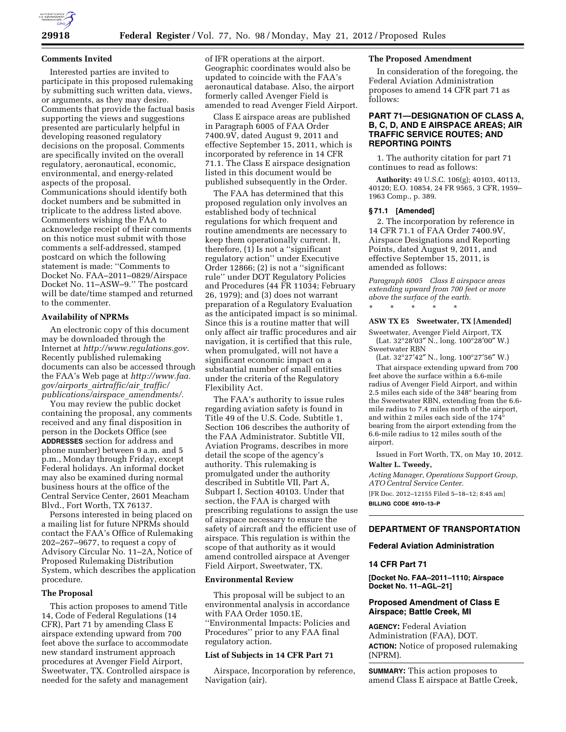

## **Comments Invited**

Interested parties are invited to participate in this proposed rulemaking by submitting such written data, views, or arguments, as they may desire. Comments that provide the factual basis supporting the views and suggestions presented are particularly helpful in developing reasoned regulatory decisions on the proposal. Comments are specifically invited on the overall regulatory, aeronautical, economic, environmental, and energy-related aspects of the proposal. Communications should identify both docket numbers and be submitted in triplicate to the address listed above. Commenters wishing the FAA to acknowledge receipt of their comments on this notice must submit with those comments a self-addressed, stamped postcard on which the following statement is made: ''Comments to Docket No. FAA–2011–0829/Airspace Docket No. 11–ASW–9.'' The postcard will be date/time stamped and returned to the commenter.

## **Availability of NPRMs**

An electronic copy of this document may be downloaded through the Internet at *[http://www.regulations.gov.](http://www.regulations.gov)*  Recently published rulemaking documents can also be accessed through the FAA's Web page at *[http://www.faa.](http://www.faa.gov/airports_airtraffic/air_traffic/publications/airspace_amendments/) gov/airports*\_*[airtraffic/air](http://www.faa.gov/airports_airtraffic/air_traffic/publications/airspace_amendments/)*\_*traffic/ [publications/airspace](http://www.faa.gov/airports_airtraffic/air_traffic/publications/airspace_amendments/)*\_*amendments/.* 

You may review the public docket containing the proposal, any comments received and any final disposition in person in the Dockets Office (see **ADDRESSES** section for address and phone number) between 9 a.m. and 5 p.m., Monday through Friday, except Federal holidays. An informal docket may also be examined during normal business hours at the office of the Central Service Center, 2601 Meacham Blvd., Fort Worth, TX 76137.

Persons interested in being placed on a mailing list for future NPRMs should contact the FAA's Office of Rulemaking 202–267–9677, to request a copy of Advisory Circular No. 11–2A, Notice of Proposed Rulemaking Distribution System, which describes the application procedure.

## **The Proposal**

This action proposes to amend Title 14, Code of Federal Regulations (14 CFR), Part 71 by amending Class E airspace extending upward from 700 feet above the surface to accommodate new standard instrument approach procedures at Avenger Field Airport, Sweetwater, TX. Controlled airspace is needed for the safety and management

of IFR operations at the airport. Geographic coordinates would also be updated to coincide with the FAA's aeronautical database. Also, the airport formerly called Avenger Field is amended to read Avenger Field Airport.

Class E airspace areas are published in Paragraph 6005 of FAA Order 7400.9 $\bar{V}$ , dated August 9, 2011 and effective September 15, 2011, which is incorporated by reference in 14 CFR 71.1. The Class E airspace designation listed in this document would be published subsequently in the Order.

The FAA has determined that this proposed regulation only involves an established body of technical regulations for which frequent and routine amendments are necessary to keep them operationally current. It, therefore, (1) Is not a ''significant regulatory action'' under Executive Order 12866; (2) is not a ''significant rule'' under DOT Regulatory Policies and Procedures (44 FR 11034; February 26, 1979); and (3) does not warrant preparation of a Regulatory Evaluation as the anticipated impact is so minimal. Since this is a routine matter that will only affect air traffic procedures and air navigation, it is certified that this rule, when promulgated, will not have a significant economic impact on a substantial number of small entities under the criteria of the Regulatory Flexibility Act.

The FAA's authority to issue rules regarding aviation safety is found in Title 49 of the U.S. Code. Subtitle 1, Section 106 describes the authority of the FAA Administrator. Subtitle VII, Aviation Programs, describes in more detail the scope of the agency's authority. This rulemaking is promulgated under the authority described in Subtitle VII, Part A, Subpart I, Section 40103. Under that section, the FAA is charged with prescribing regulations to assign the use of airspace necessary to ensure the safety of aircraft and the efficient use of airspace. This regulation is within the scope of that authority as it would amend controlled airspace at Avenger Field Airport, Sweetwater, TX.

## **Environmental Review**

This proposal will be subject to an environmental analysis in accordance with FAA Order 1050.1E, ''Environmental Impacts: Policies and Procedures'' prior to any FAA final regulatory action.

## **List of Subjects in 14 CFR Part 71**

Airspace, Incorporation by reference, Navigation (air).

# **The Proposed Amendment**

In consideration of the foregoing, the Federal Aviation Administration proposes to amend 14 CFR part 71 as follows:

# **PART 71—DESIGNATION OF CLASS A, B, C, D, AND E AIRSPACE AREAS; AIR TRAFFIC SERVICE ROUTES; AND REPORTING POINTS**

1. The authority citation for part 71 continues to read as follows:

**Authority:** 49 U.S.C. 106(g); 40103, 40113, 40120; E.O. 10854, 24 FR 9565, 3 CFR, 1959– 1963 Comp., p. 389.

#### **§ 71.1 [Amended]**

2. The incorporation by reference in 14 CFR 71.1 of FAA Order 7400.9V, Airspace Designations and Reporting Points, dated August 9, 2011, and effective September 15, 2011, is amended as follows:

*Paragraph 6005 Class E airspace areas extending upward from 700 feet or more above the surface of the earth.* 

\* \* \* \* \*

#### **ASW TX E5 Sweetwater, TX [Amended]**

Sweetwater, Avenger Field Airport, TX (Lat. 32°28′03″ N., long. 100°28′00″ W.) Sweetwater RBN

(Lat. 32°27′42″ N., long. 100°27′56″ W.)

That airspace extending upward from 700 feet above the surface within a 6.6-mile radius of Avenger Field Airport, and within 2.5 miles each side of the 348° bearing from the Sweetwater RBN, extending from the 6.6 mile radius to 7.4 miles north of the airport, and within 2 miles each side of the  $174^{\circ}$ bearing from the airport extending from the 6.6-mile radius to 12 miles south of the airport.

Issued in Fort Worth, TX, on May 10, 2012.

## **Walter L. Tweedy,**

*Acting Manager, Operations Support Group, ATO Central Service Center.* 

[FR Doc. 2012–12155 Filed 5–18–12; 8:45 am] **BILLING CODE 4910–13–P** 

# **DEPARTMENT OF TRANSPORTATION**

#### **Federal Aviation Administration**

# **14 CFR Part 71**

**[Docket No. FAA–2011–1110; Airspace Docket No. 11–AGL–21]** 

# **Proposed Amendment of Class E Airspace; Battle Creek, MI**

**AGENCY:** Federal Aviation Administration (FAA), DOT. **ACTION:** Notice of proposed rulemaking (NPRM).

**SUMMARY:** This action proposes to amend Class E airspace at Battle Creek,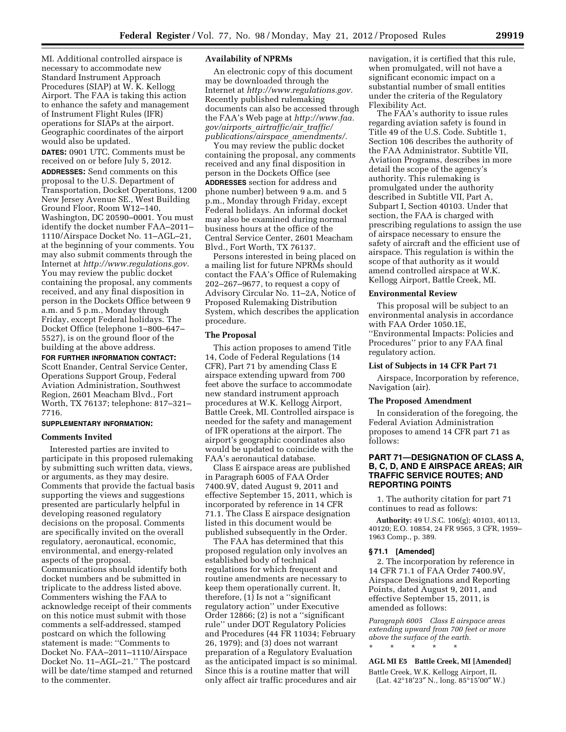MI. Additional controlled airspace is necessary to accommodate new Standard Instrument Approach Procedures (SIAP) at W. K. Kellogg Airport. The FAA is taking this action to enhance the safety and management of Instrument Flight Rules (IFR) operations for SIAPs at the airport. Geographic coordinates of the airport would also be updated.

**DATES:** 0901 UTC. Comments must be received on or before July 5, 2012. **ADDRESSES:** Send comments on this proposal to the U.S. Department of Transportation, Docket Operations, 1200 New Jersey Avenue SE., West Building Ground Floor, Room W12–140, Washington, DC 20590–0001. You must identify the docket number FAA–2011– 1110/Airspace Docket No. 11–AGL–21, at the beginning of your comments. You may also submit comments through the Internet at *[http://www.regulations.gov.](http://www.regulations.gov)*  You may review the public docket containing the proposal, any comments received, and any final disposition in person in the Dockets Office between 9 a.m. and 5 p.m., Monday through Friday, except Federal holidays. The Docket Office (telephone 1–800–647– 5527), is on the ground floor of the building at the above address.

**FOR FURTHER INFORMATION CONTACT:**  Scott Enander, Central Service Center, Operations Support Group, Federal Aviation Administration, Southwest Region, 2601 Meacham Blvd., Fort Worth, TX 76137; telephone: 817–321– 7716.

### **SUPPLEMENTARY INFORMATION:**

## **Comments Invited**

Interested parties are invited to participate in this proposed rulemaking by submitting such written data, views, or arguments, as they may desire. Comments that provide the factual basis supporting the views and suggestions presented are particularly helpful in developing reasoned regulatory decisions on the proposal. Comments are specifically invited on the overall regulatory, aeronautical, economic, environmental, and energy-related aspects of the proposal. Communications should identify both docket numbers and be submitted in triplicate to the address listed above. Commenters wishing the FAA to acknowledge receipt of their comments on this notice must submit with those comments a self-addressed, stamped postcard on which the following statement is made: ''Comments to Docket No. FAA–2011–1110/Airspace Docket No. 11–AGL–21.'' The postcard will be date/time stamped and returned to the commenter.

## **Availability of NPRMs**

An electronic copy of this document may be downloaded through the Internet at *[http://www.regulations.gov.](http://www.regulations.gov)*  Recently published rulemaking documents can also be accessed through the FAA's Web page at *[http://www.faa.](http://www.faa.gov/airports_airtraffic/air_traffic/publications/airspace_amendments/) gov/airports*\_*[airtraffic/air](http://www.faa.gov/airports_airtraffic/air_traffic/publications/airspace_amendments/)*\_*traffic/ [publications/airspace](http://www.faa.gov/airports_airtraffic/air_traffic/publications/airspace_amendments/)*\_*amendments/.* 

You may review the public docket containing the proposal, any comments received and any final disposition in person in the Dockets Office (see **ADDRESSES** section for address and phone number) between 9 a.m. and 5 p.m., Monday through Friday, except Federal holidays. An informal docket may also be examined during normal business hours at the office of the Central Service Center, 2601 Meacham Blvd., Fort Worth, TX 76137.

Persons interested in being placed on a mailing list for future NPRMs should contact the FAA's Office of Rulemaking 202–267–9677, to request a copy of Advisory Circular No. 11–2A, Notice of Proposed Rulemaking Distribution System, which describes the application procedure.

# **The Proposal**

This action proposes to amend Title 14, Code of Federal Regulations (14 CFR), Part 71 by amending Class E airspace extending upward from 700 feet above the surface to accommodate new standard instrument approach procedures at W.K. Kellogg Airport, Battle Creek, MI. Controlled airspace is needed for the safety and management of IFR operations at the airport. The airport's geographic coordinates also would be updated to coincide with the FAA's aeronautical database.

Class E airspace areas are published in Paragraph 6005 of FAA Order 7400.9V, dated August 9, 2011 and effective September 15, 2011, which is incorporated by reference in 14 CFR 71.1. The Class E airspace designation listed in this document would be published subsequently in the Order.

The FAA has determined that this proposed regulation only involves an established body of technical regulations for which frequent and routine amendments are necessary to keep them operationally current. It, therefore, (1) Is not a ''significant regulatory action'' under Executive Order 12866; (2) is not a ''significant rule'' under DOT Regulatory Policies and Procedures (44 FR 11034; February 26, 1979); and (3) does not warrant preparation of a Regulatory Evaluation as the anticipated impact is so minimal. Since this is a routine matter that will only affect air traffic procedures and air

navigation, it is certified that this rule, when promulgated, will not have a significant economic impact on a substantial number of small entities under the criteria of the Regulatory Flexibility Act.

The FAA's authority to issue rules regarding aviation safety is found in Title 49 of the U.S. Code. Subtitle 1, Section 106 describes the authority of the FAA Administrator. Subtitle VII, Aviation Programs, describes in more detail the scope of the agency's authority. This rulemaking is promulgated under the authority described in Subtitle VII, Part A, Subpart I, Section 40103. Under that section, the FAA is charged with prescribing regulations to assign the use of airspace necessary to ensure the safety of aircraft and the efficient use of airspace. This regulation is within the scope of that authority as it would amend controlled airspace at W.K. Kellogg Airport, Battle Creek, MI.

#### **Environmental Review**

This proposal will be subject to an environmental analysis in accordance with FAA Order 1050.1E, ''Environmental Impacts: Policies and Procedures'' prior to any FAA final regulatory action.

## **List of Subjects in 14 CFR Part 71**

Airspace, Incorporation by reference, Navigation (air).

#### **The Proposed Amendment**

In consideration of the foregoing, the Federal Aviation Administration proposes to amend 14 CFR part 71 as follows:

# **PART 71—DESIGNATION OF CLASS A, B, C, D, AND E AIRSPACE AREAS; AIR TRAFFIC SERVICE ROUTES; AND REPORTING POINTS**

1. The authority citation for part 71 continues to read as follows:

**Authority:** 49 U.S.C. 106(g); 40103, 40113, 40120; E.O. 10854, 24 FR 9565, 3 CFR, 1959– 1963 Comp., p. 389.

#### **§ 71.1 [Amended]**

2. The incorporation by reference in 14 CFR 71.1 of FAA Order 7400.9V, Airspace Designations and Reporting Points, dated August 9, 2011, and effective September 15, 2011, is amended as follows:

*Paragraph 6005 Class E airspace areas extending upward from 700 feet or more above the surface of the earth.*   $\star$   $\qquad$   $\star$   $\qquad$   $\star$ 

**AGL MI E5 Battle Creek, MI [Amended]** 

Battle Creek, W.K. Kellogg Airport, IL (Lat. 42°18′23″ N., long. 85°15′00″ W.)